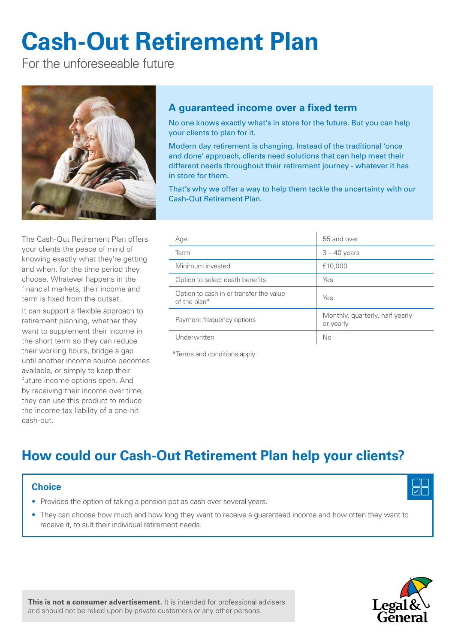# **Cash-Out Retirement Plan**

For the unforeseeable future



# **A guaranteed income over a fixed term**

No one knows exactly what's in store for the future. But you can help your clients to plan for it.

Modern day retirement is changing. Instead of the traditional 'once and done' approach, clients need solutions that can help meet their different needs throughout their retirement journey - whatever it has in store for them.

That's why we offer a way to help them tackle the uncertainty with our Cash-Out Retirement Plan.

The Cash-Out Retirement Plan offers your clients the peace of mind of knowing exactly what they're getting and when, for the time period they choose. Whatever happens in the financial markets, their income and term is fixed from the outset.

It can support a flexible approach to retirement planning, whether they want to supplement their income in the short term so they can reduce their working hours, bridge a gap until another income source becomes available, or simply to keep their future income options open. And by receiving their income over time, they can use this product to reduce the income tax liability of a one-hit cash-out.

| Age                                                     | 55 and over                                  |
|---------------------------------------------------------|----------------------------------------------|
| Term                                                    | $3 - 40$ years                               |
| Minimum invested                                        | £10,000                                      |
| Option to select death benefits                         | Yes                                          |
| Option to cash in or transfer the value<br>of the plan* | Yes                                          |
| Payment frequency options                               | Monthly, quarterly, half yearly<br>or yearly |
| Underwritten                                            | No                                           |

\*Terms and conditions apply

# **How could our Cash-Out Retirement Plan help your clients?**

# **Choice**

- Provides the option of taking a pension pot as cash over several years.
- They can choose how much and how long they want to receive a guaranteed income and how often they want to receive it, to suit their individual retirement needs.



**This is not a consumer advertisement.** It is intended for professional advisers and should not be relied upon by private customers or any other persons.